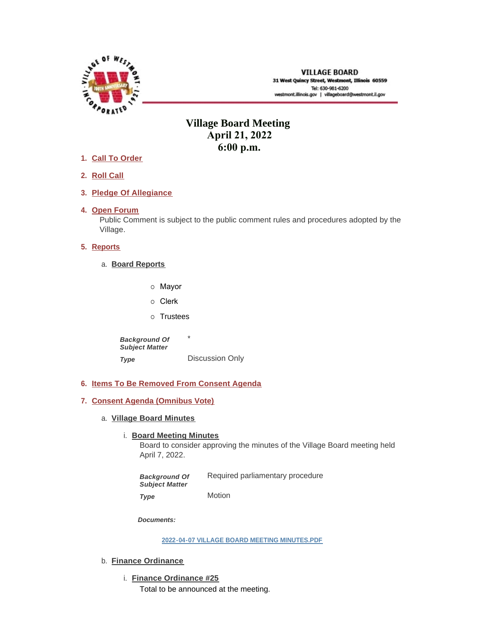

**VILLAGE BOARD** 31 West Quincy Street, Westmont, Illinois 60559 Tel: 630-981-6200 westmont.illinois.gov | villageboard@westmont.il.gov

# **Village Board Meeting April 21, 2022 6:00 p.m.**

- **Call To Order 1.**
- **Roll Call 2.**
- **Pledge Of Allegiance 3.**
- 4. Open Forum

Public Comment is subject to the public comment rules and procedures adopted by the Village.

# **5.** Reports

- **Board Reports** a.
	- o Mayor
	- o Clerk
	- o Trustees

\* Discussion Only *Background Of Subject Matter Type* 

- **Items To Be Removed From Consent Agenda 6.**
- **Consent Agenda (Omnibus Vote) 7.**
	- **Village Board Minutes** a.

# **Board Meeting Minutes**

Board to consider approving the minutes of the Village Board meeting held April 7, 2022.

Required parliamentary procedure Motion *Background Of Subject Matter Type* 

*Documents:*

**[2022-04-07 VILLAGE BOARD MEETING MINUTES.PDF](https://westmont.illinois.gov/AgendaCenter/ViewFile/Item/8603?fileID=12906)**

- b. **Finance Ordinance** 
	- **Finance Ordinance #25** i. Total to be announced at the meeting.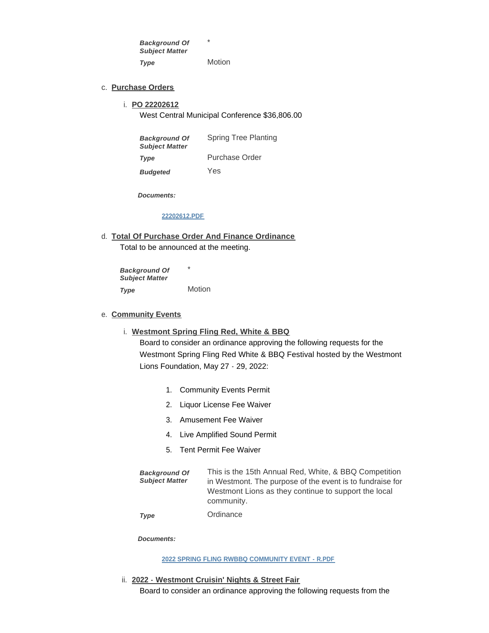\* *Background Of Subject Matter Type* 

Motion

### **Purchase Orders** c.

**PO 22202612** i.

West Central Municipal Conference \$36,806.00

| <b>Background Of</b><br><b>Subject Matter</b> | Spring Tree Planting |
|-----------------------------------------------|----------------------|
| Type                                          | Purchase Order       |
| <b>Budgeted</b>                               | Yes                  |

*Documents:*

# **[22202612.PDF](https://westmont.illinois.gov/AgendaCenter/ViewFile/Item/8612?fileID=12892)**

**Total Of Purchase Order And Finance Ordinance** d. Total to be announced at the meeting.

\* **Motion** *Background Of Subject Matter Type* 

### **Community Events** e.

- **Westmont Spring Fling Red, White & BBQ** i. Board to consider an ordinance approving the following requests for the Westmont Spring Fling Red White & BBQ Festival hosted by the Westmont Lions Foundation, May 27 - 29, 2022:
	- 1. Community Events Permit
	- 2. Liquor License Fee Waiver
	- 3. Amusement Fee Waiver
	- 4. Live Amplified Sound Permit
	- 5. Tent Permit Fee Waiver

| <b>Background Of</b>  | This is the 15th Annual Red, White, & BBQ Competition     |
|-----------------------|-----------------------------------------------------------|
| <b>Subject Matter</b> | in Westmont. The purpose of the event is to fundraise for |
|                       | Westmont Lions as they continue to support the local      |
|                       | community.                                                |

**Ordinance** *Type* 

*Documents:*

### **[2022 SPRING FLING RWBBQ COMMUNITY EVENT - R.PDF](https://westmont.illinois.gov/AgendaCenter/ViewFile/Item/8577?fileID=12825)**

**2022 - Westmont Cruisin' Nights & Street Fair** ii. Board to consider an ordinance approving the following requests from the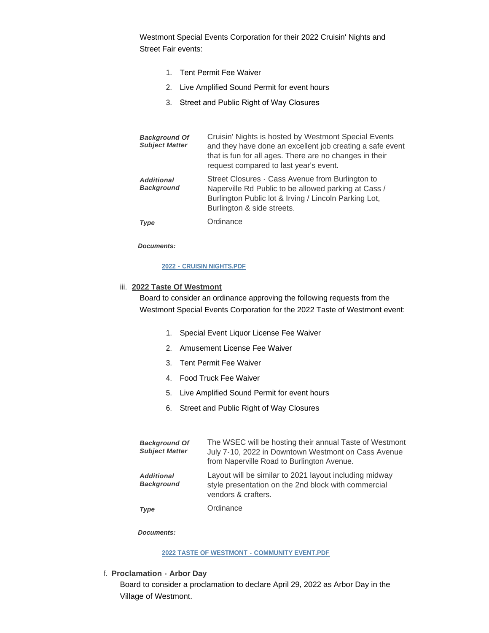Westmont Special Events Corporation for their 2022 Cruisin' Nights and Street Fair events:

- 1. Tent Permit Fee Waiver
- 2. Live Amplified Sound Permit for event hours
- 3. Street and Public Right of Way Closures

| <b>Background Of</b><br><b>Subject Matter</b> | Cruisin' Nights is hosted by Westmont Special Events<br>and they have done an excellent job creating a safe event<br>that is fun for all ages. There are no changes in their<br>request compared to last year's event. |
|-----------------------------------------------|------------------------------------------------------------------------------------------------------------------------------------------------------------------------------------------------------------------------|
| <b>Additional</b><br><b>Background</b>        | Street Closures - Cass Avenue from Burlington to<br>Naperville Rd Public to be allowed parking at Cass /<br>Burlington Public lot & Irving / Lincoln Parking Lot,<br>Burlington & side streets.                        |
| Type                                          | Ordinance                                                                                                                                                                                                              |

*Documents:*

# **[2022 - CRUISIN NIGHTS.PDF](https://westmont.illinois.gov/AgendaCenter/ViewFile/Item/8608?fileID=12887)**

# iii. 2022 Taste Of Westmont

Board to consider an ordinance approving the following requests from the Westmont Special Events Corporation for the 2022 Taste of Westmont event:

- 1. Special Event Liquor License Fee Waiver
- 2. Amusement License Fee Waiver
- 3. Tent Permit Fee Waiver
- 4. Food Truck Fee Waiver
- 5. Live Amplified Sound Permit for event hours
- 6. Street and Public Right of Way Closures

| <b>Background Of</b><br><b>Subject Matter</b> | The WSEC will be hosting their annual Taste of Westmont<br>July 7-10, 2022 in Downtown Westmont on Cass Avenue<br>from Naperville Road to Burlington Avenue. |
|-----------------------------------------------|--------------------------------------------------------------------------------------------------------------------------------------------------------------|
| <b>Additional</b><br><b>Background</b>        | Layout will be similar to 2021 layout including midway<br>style presentation on the 2nd block with commercial<br>vendors & crafters.                         |
| Type                                          | Ordinance                                                                                                                                                    |

*Documents:*

### **[2022 TASTE OF WESTMONT - COMMUNITY EVENT.PDF](https://westmont.illinois.gov/AgendaCenter/ViewFile/Item/8609?fileID=12888)**

**Proclamation - Arbor Day** f.

Board to consider a proclamation to declare April 29, 2022 as Arbor Day in the Village of Westmont.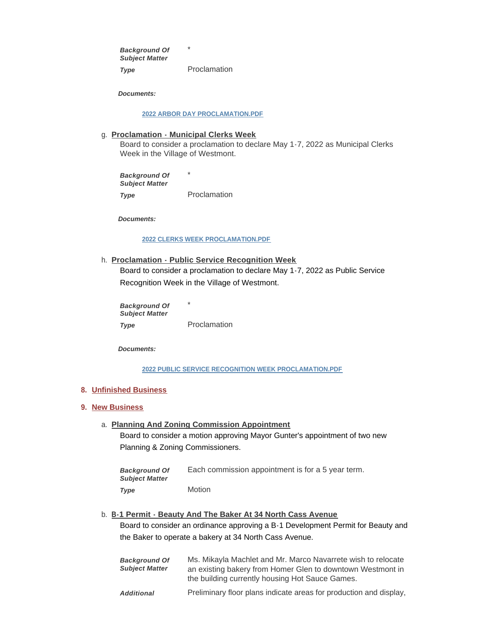\* Proclamation *Background Of Subject Matter Type* 

*Documents:*

### **[2022 ARBOR DAY PROCLAMATION.PDF](https://westmont.illinois.gov/AgendaCenter/ViewFile/Item/8580?fileID=12828)**

### **Proclamation - Municipal Clerks Week** g.

Board to consider a proclamation to declare May 1-7, 2022 as Municipal Clerks Week in the Village of Westmont.

\* Proclamation *Background Of Subject Matter Type* 

*Documents:*

### **[2022 CLERKS WEEK PROCLAMATION.PDF](https://westmont.illinois.gov/AgendaCenter/ViewFile/Item/8579?fileID=12827)**

**Proclamation - Public Service Recognition Week**  h. Board to consider a proclamation to declare May 1-7, 2022 as Public Service Recognition Week in the Village of Westmont.

\* Proclamation *Background Of Subject Matter Type* 

*Documents:*

**[2022 PUBLIC SERVICE RECOGNITION WEEK PROCLAMATION.PDF](https://westmont.illinois.gov/AgendaCenter/ViewFile/Item/8578?fileID=12826)**

### **Unfinished Business 8.**

### **New Business 9.**

### **Planning And Zoning Commission Appointment** a.

Board to consider a motion approving Mayor Gunter's appointment of two new Planning & Zoning Commissioners.

| <b>Background Of</b><br><b>Subiect Matter</b> | Each commission appointment is for a 5 year term. |
|-----------------------------------------------|---------------------------------------------------|
| Type                                          | <b>Motion</b>                                     |

### **B-1 Permit - Beauty And The Baker At 34 North Cass Avenue** b.

Board to consider an ordinance approving a B-1 Development Permit for Beauty and the Baker to operate a bakery at 34 North Cass Avenue.

| <b>Background Of</b><br><b>Subject Matter</b> | Ms. Mikayla Machlet and Mr. Marco Navarrete wish to relocate<br>an existing bakery from Homer Glen to downtown Westmont in<br>the building currently housing Hot Sauce Games. |
|-----------------------------------------------|-------------------------------------------------------------------------------------------------------------------------------------------------------------------------------|
| <b>Additional</b>                             | Preliminary floor plans indicate areas for production and display,                                                                                                            |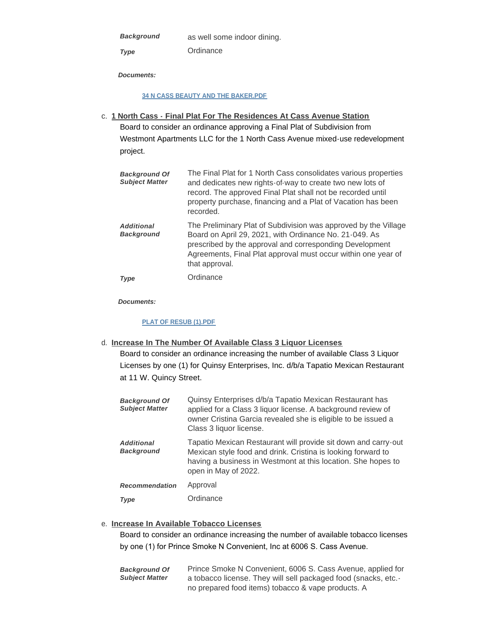*Background* 

*Type* 

as well some indoor dining.

**Ordinance** 

*Documents:*

### **[34 N CASS BEAUTY AND THE BAKER.PDF](https://westmont.illinois.gov/AgendaCenter/ViewFile/Item/8581?fileID=12829)**

**1 North Cass - Final Plat For The Residences At Cass Avenue Station** c. Board to consider an ordinance approving a Final Plat of Subdivision from Westmont Apartments LLC for the 1 North Cass Avenue mixed-use redevelopment project.

| <b>Background Of</b><br><b>Subject Matter</b> | The Final Plat for 1 North Cass consolidates various properties<br>and dedicates new rights-of-way to create two new lots of<br>record. The approved Final Plat shall not be recorded until<br>property purchase, financing and a Plat of Vacation has been<br>recorded. |
|-----------------------------------------------|--------------------------------------------------------------------------------------------------------------------------------------------------------------------------------------------------------------------------------------------------------------------------|
| <b>Additional</b><br><b>Background</b>        | The Preliminary Plat of Subdivision was approved by the Village<br>Board on April 29, 2021, with Ordinance No. 21-049. As<br>prescribed by the approval and corresponding Development<br>Agreements, Final Plat approval must occur within one year of<br>that approval. |
| Type                                          | Ordinance                                                                                                                                                                                                                                                                |

*Documents:*

# **[PLAT OF RESUB \(1\).PDF](https://westmont.illinois.gov/AgendaCenter/ViewFile/Item/8582?fileID=12869)**

**Increase In The Number Of Available Class 3 Liquor Licenses** d.

Board to consider an ordinance increasing the number of available Class 3 Liquor Licenses by one (1) for Quinsy Enterprises, Inc. d/b/a Tapatio Mexican Restaurant at 11 W. Quincy Street.

| <b>Background Of</b><br><b>Subject Matter</b> | Quinsy Enterprises d/b/a Tapatio Mexican Restaurant has<br>applied for a Class 3 liquor license. A background review of<br>owner Cristina Garcia revealed she is eligible to be issued a<br>Class 3 liquor license.    |
|-----------------------------------------------|------------------------------------------------------------------------------------------------------------------------------------------------------------------------------------------------------------------------|
| <b>Additional</b><br><b>Background</b>        | Tapatio Mexican Restaurant will provide sit down and carry-out<br>Mexican style food and drink. Cristina is looking forward to<br>having a business in Westmont at this location. She hopes to<br>open in May of 2022. |
| <b>Recommendation</b>                         | Approval                                                                                                                                                                                                               |
| Type                                          | Ordinance                                                                                                                                                                                                              |

# **Increase In Available Tobacco Licenses** e.

Board to consider an ordinance increasing the number of available tobacco licenses by one (1) for Prince Smoke N Convenient, Inc at 6006 S. Cass Avenue.

| <b>Background Of</b>  | Prince Smoke N Convenient, 6006 S. Cass Avenue, applied for     |
|-----------------------|-----------------------------------------------------------------|
| <b>Subject Matter</b> | a tobacco license. They will sell packaged food (snacks, etc. - |
|                       | no prepared food items) tobacco & vape products. A              |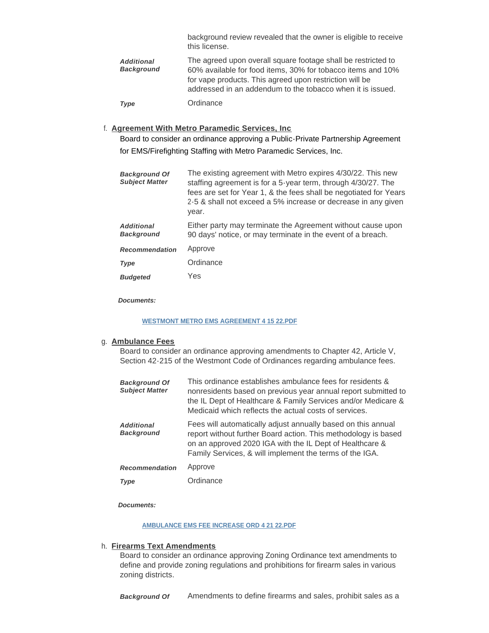background review revealed that the owner is eligible to receive this license.

| <b>Additional</b><br><b>Background</b> | The agreed upon overall square footage shall be restricted to<br>60% available for food items, 30% for tobacco items and 10%<br>for vape products. This agreed upon restriction will be<br>addressed in an addendum to the tobacco when it is issued. |
|----------------------------------------|-------------------------------------------------------------------------------------------------------------------------------------------------------------------------------------------------------------------------------------------------------|
| Type                                   | Ordinance                                                                                                                                                                                                                                             |

### **Agreement With Metro Paramedic Services, Inc** f.

Board to consider an ordinance approving a Public-Private Partnership Agreement for EMS/Firefighting Staffing with Metro Paramedic Services, Inc.

| <b>Background Of</b><br><b>Subject Matter</b> | The existing agreement with Metro expires 4/30/22. This new<br>staffing agreement is for a 5-year term, through 4/30/27. The<br>fees are set for Year 1, & the fees shall be negotiated for Years<br>2-5 & shall not exceed a 5% increase or decrease in any given<br>year. |
|-----------------------------------------------|-----------------------------------------------------------------------------------------------------------------------------------------------------------------------------------------------------------------------------------------------------------------------------|
| <b>Additional</b><br><b>Background</b>        | Either party may terminate the Agreement without cause upon<br>90 days' notice, or may terminate in the event of a breach.                                                                                                                                                  |
| <b>Recommendation</b>                         | Approve                                                                                                                                                                                                                                                                     |
| Type                                          | Ordinance                                                                                                                                                                                                                                                                   |
| <b>Budgeted</b>                               | Yes                                                                                                                                                                                                                                                                         |

*Documents:*

### **[WESTMONT METRO EMS AGREEMENT 4 15 22.PDF](https://westmont.illinois.gov/AgendaCenter/ViewFile/Item/8616?fileID=12905)**

#### **Ambulance Fees** g.

Board to consider an ordinance approving amendments to Chapter 42, Article V, Section 42-215 of the Westmont Code of Ordinances regarding ambulance fees.

| <b>Background Of</b><br><b>Subject Matter</b> | This ordinance establishes ambulance fees for residents &<br>nonresidents based on previous year annual report submitted to<br>the IL Dept of Healthcare & Family Services and/or Medicare &<br>Medicaid which reflects the actual costs of services. |
|-----------------------------------------------|-------------------------------------------------------------------------------------------------------------------------------------------------------------------------------------------------------------------------------------------------------|
| <b>Additional</b><br><b>Background</b>        | Fees will automatically adjust annually based on this annual<br>report without further Board action. This methodology is based<br>on an approved 2020 IGA with the IL Dept of Healthcare &<br>Family Services, & will implement the terms of the IGA. |
| <b>Recommendation</b>                         | Approve                                                                                                                                                                                                                                               |
| <b>Type</b>                                   | Ordinance                                                                                                                                                                                                                                             |

*Documents:*

#### **[AMBULANCE EMS FEE INCREASE ORD 4 21 22.PDF](https://westmont.illinois.gov/AgendaCenter/ViewFile/Item/8613?fileID=12893)**

#### **Firearms Text Amendments** h.

Board to consider an ordinance approving Zoning Ordinance text amendments to define and provide zoning regulations and prohibitions for firearm sales in various zoning districts.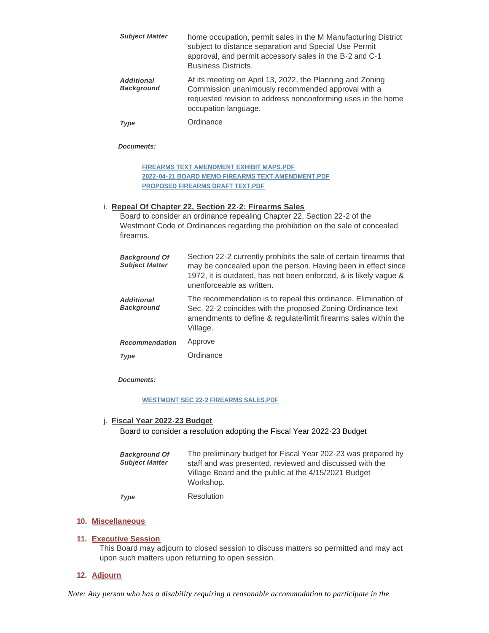| <b>Subject Matter</b>                  | home occupation, permit sales in the M Manufacturing District<br>subject to distance separation and Special Use Permit<br>approval, and permit accessory sales in the B-2 and C-1<br><b>Business Districts.</b> |
|----------------------------------------|-----------------------------------------------------------------------------------------------------------------------------------------------------------------------------------------------------------------|
| <b>Additional</b><br><b>Background</b> | At its meeting on April 13, 2022, the Planning and Zoning<br>Commission unanimously recommended approval with a<br>requested revision to address nonconforming uses in the home<br>occupation language.         |
| Type                                   | Ordinance                                                                                                                                                                                                       |

*Documents:*

**[FIREARMS TEXT AMENDMENT EXHIBIT MAPS.PDF](https://westmont.illinois.gov/AgendaCenter/ViewFile/Item/8607?fileID=12886) [2022-04-21 BOARD MEMO FIREARMS TEXT AMENDMENT.PDF](https://westmont.illinois.gov/AgendaCenter/ViewFile/Item/8607?fileID=12889) [PROPOSED FIREARMS DRAFT TEXT.PDF](https://westmont.illinois.gov/AgendaCenter/ViewFile/Item/8607?fileID=12890)**

# **Repeal Of Chapter 22, Section 22-2: Firearms Sales** i.

Board to consider an ordinance repealing Chapter 22, Section 22-2 of the Westmont Code of Ordinances regarding the prohibition on the sale of concealed firearms.

| <b>Background Of</b><br><b>Subject Matter</b> | Section 22-2 currently prohibits the sale of certain firearms that<br>may be concealed upon the person. Having been in effect since<br>1972, it is outdated, has not been enforced, & is likely vague &<br>unenforceable as written. |
|-----------------------------------------------|--------------------------------------------------------------------------------------------------------------------------------------------------------------------------------------------------------------------------------------|
| <b>Additional</b><br><b>Background</b>        | The recommendation is to repeal this ordinance. Elimination of<br>Sec. 22-2 coincides with the proposed Zoning Ordinance text<br>amendments to define & regulate/limit firearms sales within the<br>Village.                         |
| <b>Recommendation</b>                         | Approve                                                                                                                                                                                                                              |
| Type                                          | Ordinance                                                                                                                                                                                                                            |

*Documents:*

# **[WESTMONT SEC 22-2 FIREARMS SALES.PDF](https://westmont.illinois.gov/AgendaCenter/ViewFile/Item/8615?fileID=12904)**

# **Fiscal Year 2022-23 Budget** j.

Board to consider a resolution adopting the Fiscal Year 2022-23 Budget

| <b>Background Of</b><br><b>Subject Matter</b> | The preliminary budget for Fiscal Year 202-23 was prepared by<br>staff and was presented, reviewed and discussed with the<br>Village Board and the public at the 4/15/2021 Budget<br>Workshop. |
|-----------------------------------------------|------------------------------------------------------------------------------------------------------------------------------------------------------------------------------------------------|
| <b>Type</b>                                   | Resolution                                                                                                                                                                                     |

### **Miscellaneous 10.**

### **Executive Session 11.**

This Board may adjourn to closed session to discuss matters so permitted and may act upon such matters upon returning to open session.

# **Adjourn 12.**

*Note: Any person who has a disability requiring a reasonable accommodation to participate in the*